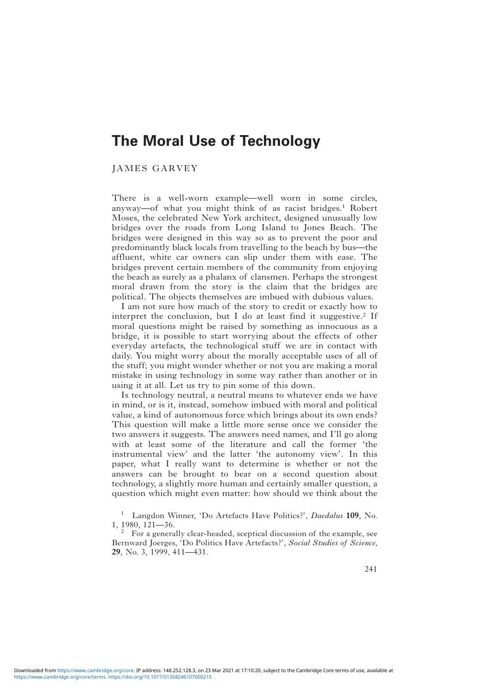JAMES GARVEY

There is a well-worn example—well worn in some circles, anyway—of what you might think of as racist bridges.1 Robert Moses, the celebrated New York architect, designed unusually low bridges over the roads from Long Island to Jones Beach. The bridges were designed in this way so as to prevent the poor and predominantly black locals from travelling to the beach by bus—the affluent, white car owners can slip under them with ease. The bridges prevent certain members of the community from enjoying the beach as surely as a phalanx of clansmen. Perhaps the strongest moral drawn from the story is the claim that the bridges are political. The objects themselves are imbued with dubious values.

I am not sure how much of the story to credit or exactly how to interpret the conclusion, but I do at least find it suggestive.2 If moral questions might be raised by something as innocuous as a bridge, it is possible to start worrying about the effects of other everyday artefacts, the technological stuff we are in contact with daily. You might worry about the morally acceptable uses of all of the stuff; you might wonder whether or not you are making a moral mistake in using technology in some way rather than another or in using it at all. Let us try to pin some of this down.

Is technology neutral, a neutral means to whatever ends we have in mind, or is it, instead, somehow imbued with moral and political value, a kind of autonomous force which brings about its own ends? This question will make a little more sense once we consider the two answers it suggests. The answers need names, and I'll go along with at least some of the literature and call the former 'the instrumental view' and the latter 'the autonomy view'. In this paper, what I really want to determine is whether or not the answers can be brought to bear on a second question about technology, a slightly more human and certainly smaller question, a question which might even matter: how should we think about the

<sup>1</sup> Langdon Winner, 'Do Artefacts Have Politics?', *Daedalus* **109**, No.

 $1$ . For a generally clear-headed, sceptical discussion of the example, see Bernward Joerges, 'Do Politics Have Artefacts?', *Social Studies of Science,* **29**, No. 3, 1999, 411—431.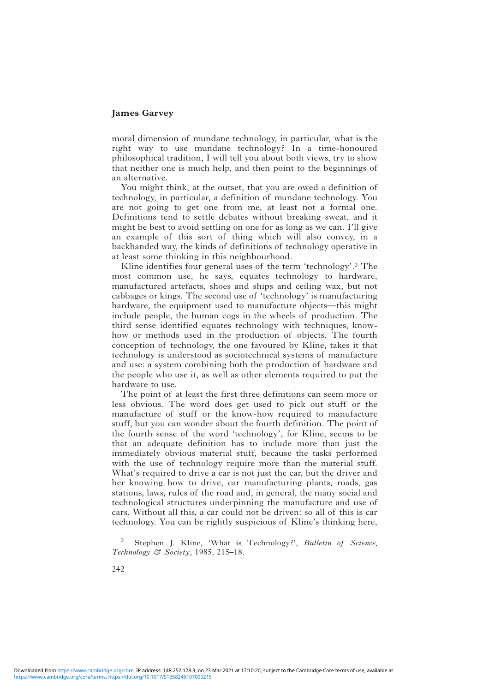moral dimension of mundane technology, in particular, what is the right way to use mundane technology? In a time-honoured philosophical tradition, I will tell you about both views, try to show that neither one is much help, and then point to the beginnings of an alternative.

You might think, at the outset, that you are owed a definition of technology, in particular, a definition of mundane technology. You are not going to get one from me, at least not a formal one. Definitions tend to settle debates without breaking sweat, and it might be best to avoid settling on one for as long as we can. I'll give an example of this sort of thing which will also convey, in a backhanded way, the kinds of definitions of technology operative in at least some thinking in this neighbourhood.

Kline identifies four general uses of the term 'technology'.3 The most common use, he says, equates technology to hardware, manufactured artefacts, shoes and ships and ceiling wax, but not cabbages or kings. The second use of 'technology' is manufacturing hardware, the equipment used to manufacture objects—this might include people, the human cogs in the wheels of production. The third sense identified equates technology with techniques, knowhow or methods used in the production of objects. The fourth conception of technology, the one favoured by Kline, takes it that technology is understood as sociotechnical systems of manufacture and use: a system combining both the production of hardware and the people who use it, as well as other elements required to put the hardware to use.

The point of at least the first three definitions can seem more or less obvious. The word does get used to pick out stuff or the manufacture of stuff or the know-how required to manufacture stuff, but you can wonder about the fourth definition. The point of the fourth sense of the word 'technology', for Kline, seems to be that an adequate definition has to include more than just the immediately obvious material stuff, because the tasks performed with the use of technology require more than the material stuff. What's required to drive a car is not just the car, but the driver and her knowing how to drive, car manufacturing plants, roads, gas stations, laws, rules of the road and, in general, the many social and technological structures underpinning the manufacture and use of cars. Without all this, a car could not be driven: so all of this is car technology. You can be rightly suspicious of Kline's thinking here,

<sup>3</sup> Stephen J. Kline, 'What is Technology?', *Bulletin of Science, Technology & Society*, 1985, 215–18.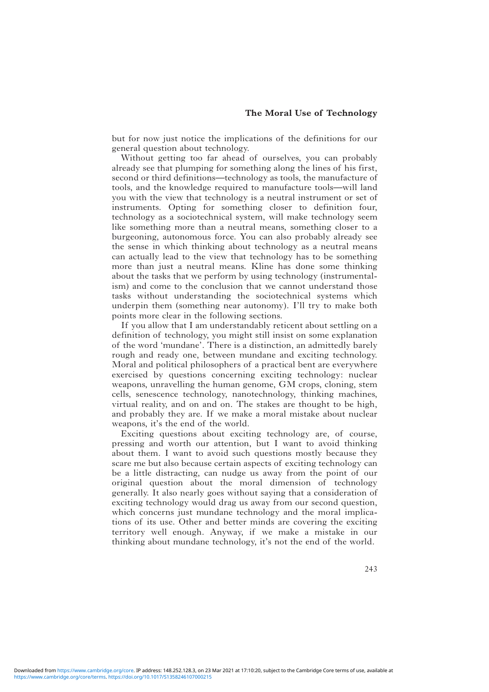but for now just notice the implications of the definitions for our general question about technology.

Without getting too far ahead of ourselves, you can probably already see that plumping for something along the lines of his first, second or third definitions—technology as tools, the manufacture of tools, and the knowledge required to manufacture tools—will land you with the view that technology is a neutral instrument or set of instruments. Opting for something closer to definition four, technology as a sociotechnical system, will make technology seem like something more than a neutral means, something closer to a burgeoning, autonomous force. You can also probably already see the sense in which thinking about technology as a neutral means can actually lead to the view that technology has to be something more than just a neutral means. Kline has done some thinking about the tasks that we perform by using technology (instrumentalism) and come to the conclusion that we cannot understand those tasks without understanding the sociotechnical systems which underpin them (something near autonomy). I'll try to make both points more clear in the following sections.

If you allow that I am understandably reticent about settling on a definition of technology, you might still insist on some explanation of the word 'mundane'. There is a distinction, an admittedly barely rough and ready one, between mundane and exciting technology. Moral and political philosophers of a practical bent are everywhere exercised by questions concerning exciting technology: nuclear weapons, unravelling the human genome, GM crops, cloning, stem cells, senescence technology, nanotechnology, thinking machines, virtual reality, and on and on. The stakes are thought to be high, and probably they are. If we make a moral mistake about nuclear weapons, it's the end of the world.

Exciting questions about exciting technology are, of course, pressing and worth our attention, but I want to avoid thinking about them. I want to avoid such questions mostly because they scare me but also because certain aspects of exciting technology can be a little distracting, can nudge us away from the point of our original question about the moral dimension of technology generally. It also nearly goes without saying that a consideration of exciting technology would drag us away from our second question, which concerns just mundane technology and the moral implications of its use. Other and better minds are covering the exciting territory well enough. Anyway, if we make a mistake in our thinking about mundane technology, it's not the end of the world.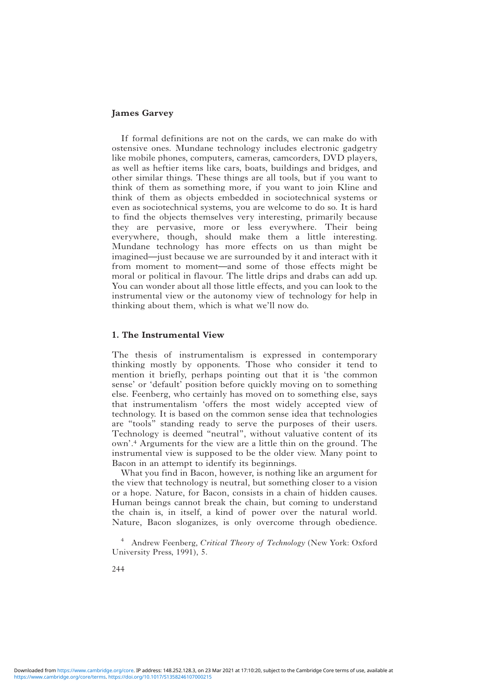If formal definitions are not on the cards, we can make do with ostensive ones. Mundane technology includes electronic gadgetry like mobile phones, computers, cameras, camcorders, DVD players, as well as heftier items like cars, boats, buildings and bridges, and other similar things. These things are all tools, but if you want to think of them as something more, if you want to join Kline and think of them as objects embedded in sociotechnical systems or even as sociotechnical systems, you are welcome to do so. It is hard to find the objects themselves very interesting, primarily because they are pervasive, more or less everywhere. Their being everywhere, though, should make them a little interesting. Mundane technology has more effects on us than might be imagined—just because we are surrounded by it and interact with it from moment to moment—and some of those effects might be moral or political in flavour. The little drips and drabs can add up. You can wonder about all those little effects, and you can look to the instrumental view or the autonomy view of technology for help in thinking about them, which is what we'll now do.

#### **1. The Instrumental View**

The thesis of instrumentalism is expressed in contemporary thinking mostly by opponents. Those who consider it tend to mention it briefly, perhaps pointing out that it is 'the common sense' or 'default' position before quickly moving on to something else. Feenberg, who certainly has moved on to something else, says that instrumentalism 'offers the most widely accepted view of technology. It is based on the common sense idea that technologies are "tools" standing ready to serve the purposes of their users. Technology is deemed "neutral", without valuative content of its own'.4 Arguments for the view are a little thin on the ground. The instrumental view is supposed to be the older view. Many point to Bacon in an attempt to identify its beginnings.

What you find in Bacon, however, is nothing like an argument for the view that technology is neutral, but something closer to a vision or a hope. Nature, for Bacon, consists in a chain of hidden causes. Human beings cannot break the chain, but coming to understand the chain is, in itself, a kind of power over the natural world. Nature, Bacon sloganizes, is only overcome through obedience.

<sup>4</sup> Andrew Feenberg, *Critical Theory of Technology* (New York: Oxford University Press, 1991), 5.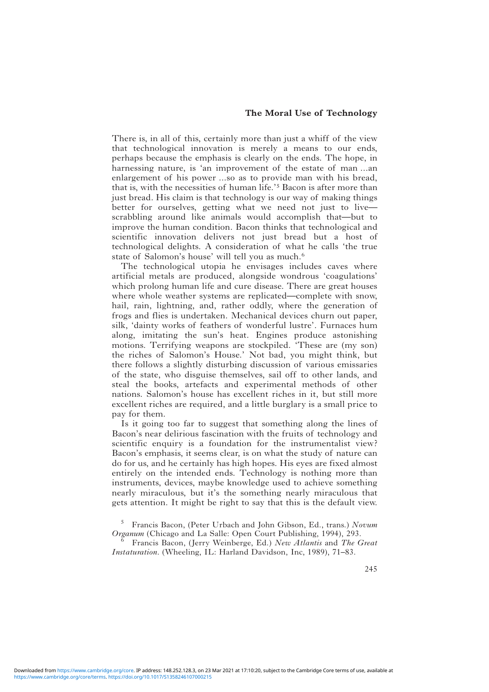There is, in all of this, certainly more than just a whiff of the view that technological innovation is merely a means to our ends, perhaps because the emphasis is clearly on the ends. The hope, in harnessing nature, is 'an improvement of the estate of man ...an enlargement of his power ...so as to provide man with his bread, that is, with the necessities of human life.'5 Bacon is after more than just bread. His claim is that technology is our way of making things better for ourselves, getting what we need not just to live scrabbling around like animals would accomplish that—but to improve the human condition. Bacon thinks that technological and scientific innovation delivers not just bread but a host of technological delights. A consideration of what he calls 'the true state of Salomon's house' will tell you as much.6

The technological utopia he envisages includes caves where artificial metals are produced, alongside wondrous 'coagulations' which prolong human life and cure disease. There are great houses where whole weather systems are replicated—complete with snow, hail, rain, lightning, and, rather oddly, where the generation of frogs and flies is undertaken. Mechanical devices churn out paper, silk, 'dainty works of feathers of wonderful lustre'. Furnaces hum along, imitating the sun's heat. Engines produce astonishing motions. Terrifying weapons are stockpiled. 'These are (my son) the riches of Salomon's House.' Not bad, you might think, but there follows a slightly disturbing discussion of various emissaries of the state, who disguise themselves, sail off to other lands, and steal the books, artefacts and experimental methods of other nations. Salomon's house has excellent riches in it, but still more excellent riches are required, and a little burglary is a small price to pay for them.

Is it going too far to suggest that something along the lines of Bacon's near delirious fascination with the fruits of technology and scientific enquiry is a foundation for the instrumentalist view? Bacon's emphasis, it seems clear, is on what the study of nature can do for us, and he certainly has high hopes. His eyes are fixed almost entirely on the intended ends. Technology is nothing more than instruments, devices, maybe knowledge used to achieve something nearly miraculous, but it's the something nearly miraculous that gets attention. It might be right to say that this is the default view.

<sup>5</sup> Francis Bacon, (Peter Urbach and John Gibson, Ed., trans.) *Novum*

*Organum* (Chicago and La Salle: Open Court Publishing, 1994), 293. <sup>6</sup> Francis Bacon, (Jerry Weinberge, Ed.) *New Atlantis* and *The Great Instaturation*. (Wheeling, IL: Harland Davidson, Inc, 1989), 71–83.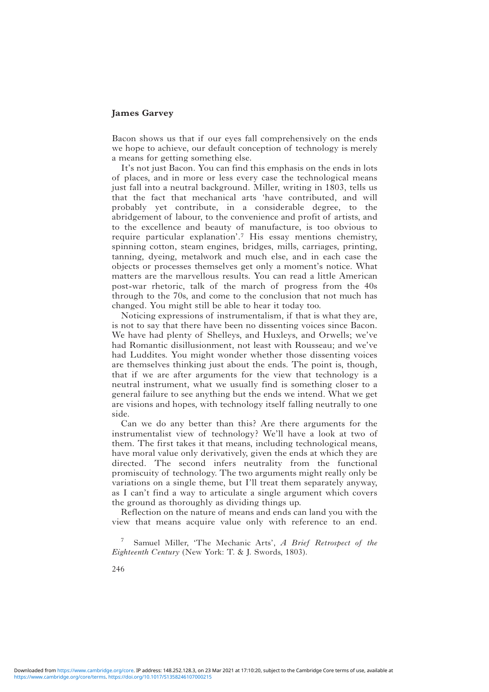Bacon shows us that if our eyes fall comprehensively on the ends we hope to achieve, our default conception of technology is merely a means for getting something else.

It's not just Bacon. You can find this emphasis on the ends in lots of places, and in more or less every case the technological means just fall into a neutral background. Miller, writing in 1803, tells us that the fact that mechanical arts 'have contributed, and will probably yet contribute, in a considerable degree, to the abridgement of labour, to the convenience and profit of artists, and to the excellence and beauty of manufacture, is too obvious to require particular explanation'.7 His essay mentions chemistry, spinning cotton, steam engines, bridges, mills, carriages, printing, tanning, dyeing, metalwork and much else, and in each case the objects or processes themselves get only a moment's notice. What matters are the marvellous results. You can read a little American post-war rhetoric, talk of the march of progress from the 40s through to the 70s, and come to the conclusion that not much has changed. You might still be able to hear it today too.

Noticing expressions of instrumentalism, if that is what they are, is not to say that there have been no dissenting voices since Bacon. We have had plenty of Shelleys, and Huxleys, and Orwells; we've had Romantic disillusionment, not least with Rousseau; and we've had Luddites. You might wonder whether those dissenting voices are themselves thinking just about the ends. The point is, though, that if we are after arguments for the view that technology is a neutral instrument, what we usually find is something closer to a general failure to see anything but the ends we intend. What we get are visions and hopes, with technology itself falling neutrally to one side.

Can we do any better than this? Are there arguments for the instrumentalist view of technology? We'll have a look at two of them. The first takes it that means, including technological means, have moral value only derivatively, given the ends at which they are directed. The second infers neutrality from the functional promiscuity of technology. The two arguments might really only be variations on a single theme, but I'll treat them separately anyway, as I can't find a way to articulate a single argument which covers the ground as thoroughly as dividing things up.

Reflection on the nature of means and ends can land you with the view that means acquire value only with reference to an end.

<sup>7</sup> Samuel Miller, 'The Mechanic Arts', *A Brief Retrospect of the Eighteenth Century* (New York: T. & J. Swords, 1803).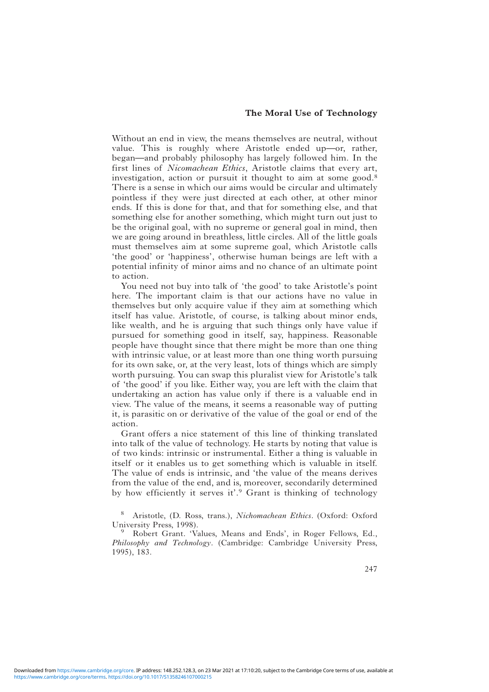Without an end in view, the means themselves are neutral, without value. This is roughly where Aristotle ended up—or, rather, began—and probably philosophy has largely followed him. In the first lines of *Nicomachean Ethics*, Aristotle claims that every art, investigation, action or pursuit it thought to aim at some good.8 There is a sense in which our aims would be circular and ultimately pointless if they were just directed at each other, at other minor ends. If this is done for that, and that for something else, and that something else for another something, which might turn out just to be the original goal, with no supreme or general goal in mind, then we are going around in breathless, little circles. All of the little goals must themselves aim at some supreme goal, which Aristotle calls 'the good' or 'happiness', otherwise human beings are left with a potential infinity of minor aims and no chance of an ultimate point to action.

You need not buy into talk of 'the good' to take Aristotle's point here. The important claim is that our actions have no value in themselves but only acquire value if they aim at something which itself has value. Aristotle, of course, is talking about minor ends, like wealth, and he is arguing that such things only have value if pursued for something good in itself, say, happiness. Reasonable people have thought since that there might be more than one thing with intrinsic value, or at least more than one thing worth pursuing for its own sake, or, at the very least, lots of things which are simply worth pursuing. You can swap this pluralist view for Aristotle's talk of 'the good' if you like. Either way, you are left with the claim that undertaking an action has value only if there is a valuable end in view. The value of the means, it seems a reasonable way of putting it, is parasitic on or derivative of the value of the goal or end of the action.

Grant offers a nice statement of this line of thinking translated into talk of the value of technology. He starts by noting that value is of two kinds: intrinsic or instrumental. Either a thing is valuable in itself or it enables us to get something which is valuable in itself. The value of ends is intrinsic, and 'the value of the means derives from the value of the end, and is, moreover, secondarily determined by how efficiently it serves it'.9 Grant is thinking of technology

<sup>8</sup> Aristotle, (D. Ross, trans.), *Nichomachean Ethics*. (Oxford: Oxford

Robert Grant. 'Values, Means and Ends', in Roger Fellows, Ed., *Philosophy and Technology*. (Cambridge: Cambridge University Press, 1995), 183.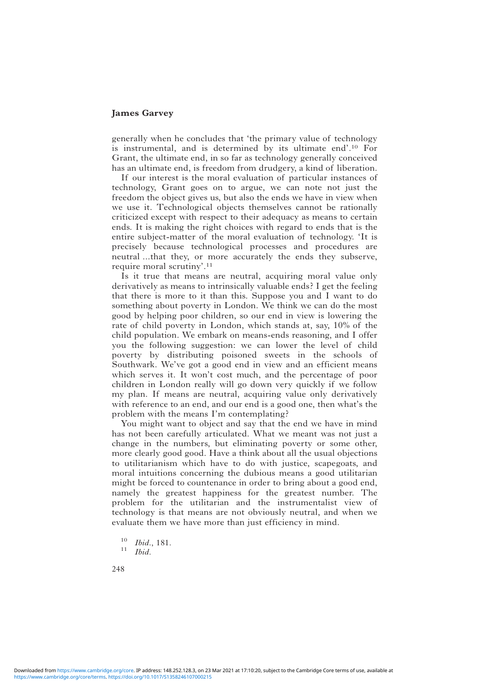generally when he concludes that 'the primary value of technology is instrumental, and is determined by its ultimate end'.10 For Grant, the ultimate end, in so far as technology generally conceived has an ultimate end, is freedom from drudgery, a kind of liberation.

If our interest is the moral evaluation of particular instances of technology, Grant goes on to argue, we can note not just the freedom the object gives us, but also the ends we have in view when we use it. Technological objects themselves cannot be rationally criticized except with respect to their adequacy as means to certain ends. It is making the right choices with regard to ends that is the entire subject-matter of the moral evaluation of technology. 'It is precisely because technological processes and procedures are neutral ...that they, or more accurately the ends they subserve, require moral scrutiny'.11

Is it true that means are neutral, acquiring moral value only derivatively as means to intrinsically valuable ends? I get the feeling that there is more to it than this. Suppose you and I want to do something about poverty in London. We think we can do the most good by helping poor children, so our end in view is lowering the rate of child poverty in London, which stands at, say, 10% of the child population. We embark on means-ends reasoning, and I offer you the following suggestion: we can lower the level of child poverty by distributing poisoned sweets in the schools of Southwark. We've got a good end in view and an efficient means which serves it. It won't cost much, and the percentage of poor children in London really will go down very quickly if we follow my plan. If means are neutral, acquiring value only derivatively with reference to an end, and our end is a good one, then what's the problem with the means I'm contemplating?

You might want to object and say that the end we have in mind has not been carefully articulated. What we meant was not just a change in the numbers, but eliminating poverty or some other, more clearly good good. Have a think about all the usual objections to utilitarianism which have to do with justice, scapegoats, and moral intuitions concerning the dubious means a good utilitarian might be forced to countenance in order to bring about a good end, namely the greatest happiness for the greatest number. The problem for the utilitarian and the instrumentalist view of technology is that means are not obviously neutral, and when we evaluate them we have more than just efficiency in mind.

<sup>10</sup> *Ibid*., 181. <sup>11</sup> *Ibid*.

248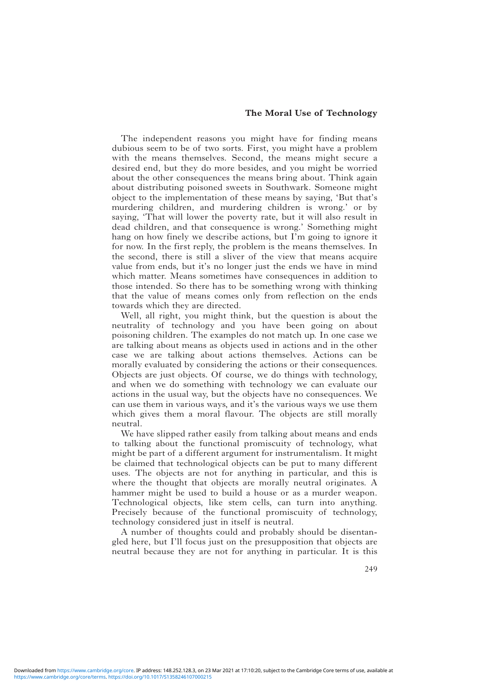The independent reasons you might have for finding means dubious seem to be of two sorts. First, you might have a problem with the means themselves. Second, the means might secure a desired end, but they do more besides, and you might be worried about the other consequences the means bring about. Think again about distributing poisoned sweets in Southwark. Someone might object to the implementation of these means by saying, 'But that's murdering children, and murdering children is wrong.' or by saying, 'That will lower the poverty rate, but it will also result in dead children, and that consequence is wrong.' Something might hang on how finely we describe actions, but I'm going to ignore it for now. In the first reply, the problem is the means themselves. In the second, there is still a sliver of the view that means acquire value from ends, but it's no longer just the ends we have in mind which matter. Means sometimes have consequences in addition to those intended. So there has to be something wrong with thinking that the value of means comes only from reflection on the ends towards which they are directed.

Well, all right, you might think, but the question is about the neutrality of technology and you have been going on about poisoning children. The examples do not match up. In one case we are talking about means as objects used in actions and in the other case we are talking about actions themselves. Actions can be morally evaluated by considering the actions or their consequences. Objects are just objects. Of course, we do things with technology, and when we do something with technology we can evaluate our actions in the usual way, but the objects have no consequences. We can use them in various ways, and it's the various ways we use them which gives them a moral flavour. The objects are still morally neutral.

We have slipped rather easily from talking about means and ends to talking about the functional promiscuity of technology, what might be part of a different argument for instrumentalism. It might be claimed that technological objects can be put to many different uses. The objects are not for anything in particular, and this is where the thought that objects are morally neutral originates. A hammer might be used to build a house or as a murder weapon. Technological objects, like stem cells, can turn into anything. Precisely because of the functional promiscuity of technology, technology considered just in itself is neutral.

A number of thoughts could and probably should be disentangled here, but I'll focus just on the presupposition that objects are neutral because they are not for anything in particular. It is this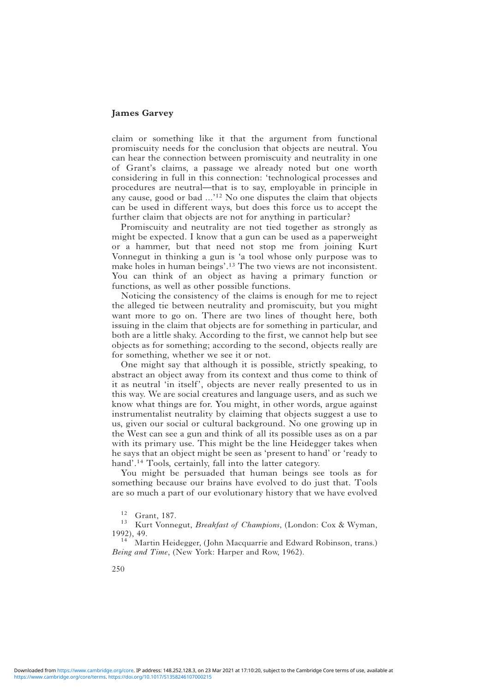claim or something like it that the argument from functional promiscuity needs for the conclusion that objects are neutral. You can hear the connection between promiscuity and neutrality in one of Grant's claims, a passage we already noted but one worth considering in full in this connection: 'technological processes and procedures are neutral—that is to say, employable in principle in any cause, good or bad ...'12 No one disputes the claim that objects can be used in different ways, but does this force us to accept the further claim that objects are not for anything in particular?

Promiscuity and neutrality are not tied together as strongly as might be expected. I know that a gun can be used as a paperweight or a hammer, but that need not stop me from joining Kurt Vonnegut in thinking a gun is 'a tool whose only purpose was to make holes in human beings'.13 The two views are not inconsistent. You can think of an object as having a primary function or functions, as well as other possible functions.

Noticing the consistency of the claims is enough for me to reject the alleged tie between neutrality and promiscuity, but you might want more to go on. There are two lines of thought here, both issuing in the claim that objects are for something in particular, and both are a little shaky. According to the first, we cannot help but see objects as for something; according to the second, objects really are for something, whether we see it or not.

One might say that although it is possible, strictly speaking, to abstract an object away from its context and thus come to think of it as neutral 'in itself', objects are never really presented to us in this way. We are social creatures and language users, and as such we know what things are for. You might, in other words, argue against instrumentalist neutrality by claiming that objects suggest a use to us, given our social or cultural background. No one growing up in the West can see a gun and think of all its possible uses as on a par with its primary use. This might be the line Heidegger takes when he says that an object might be seen as 'present to hand' or 'ready to hand'.14 Tools, certainly, fall into the latter category.

You might be persuaded that human beings see tools as for something because our brains have evolved to do just that. Tools are so much a part of our evolutionary history that we have evolved

<sup>12</sup> Grant, 187. <sup>13</sup> Kurt Vonnegut, *Breakfast of Champions*, (London: Cox & Wyman, 1992), 49.<br><sup>14</sup> Martin Heidegger, (John Macquarrie and Edward Robinson, trans.)

*Being and Time*, (New York: Harper and Row, 1962).

250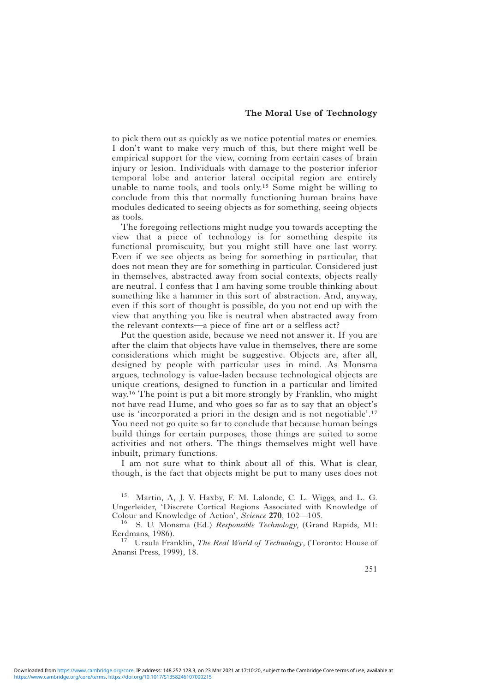to pick them out as quickly as we notice potential mates or enemies. I don't want to make very much of this, but there might well be empirical support for the view, coming from certain cases of brain injury or lesion. Individuals with damage to the posterior inferior temporal lobe and anterior lateral occipital region are entirely unable to name tools, and tools only.15 Some might be willing to conclude from this that normally functioning human brains have modules dedicated to seeing objects as for something, seeing objects as tools.

The foregoing reflections might nudge you towards accepting the view that a piece of technology is for something despite its functional promiscuity, but you might still have one last worry. Even if we see objects as being for something in particular, that does not mean they are for something in particular. Considered just in themselves, abstracted away from social contexts, objects really are neutral. I confess that I am having some trouble thinking about something like a hammer in this sort of abstraction. And, anyway, even if this sort of thought is possible, do you not end up with the view that anything you like is neutral when abstracted away from the relevant contexts—a piece of fine art or a selfless act?

Put the question aside, because we need not answer it. If you are after the claim that objects have value in themselves, there are some considerations which might be suggestive. Objects are, after all, designed by people with particular uses in mind. As Monsma argues, technology is value-laden because technological objects are unique creations, designed to function in a particular and limited way.16 The point is put a bit more strongly by Franklin, who might not have read Hume, and who goes so far as to say that an object's use is 'incorporated a priori in the design and is not negotiable'.17 You need not go quite so far to conclude that because human beings build things for certain purposes, those things are suited to some activities and not others. The things themselves might well have inbuilt, primary functions.

I am not sure what to think about all of this. What is clear, though, is the fact that objects might be put to many uses does not

Martin, A, J. V. Haxby, F. M. Lalonde, C. L. Wiggs, and L. G. Ungerleider, 'Discrete Cortical Regions Associated with Knowledge of Colour and Knowledge of Action', *Science* **<sup>270</sup>**, 102—105. <sup>16</sup> S. U. Monsma (Ed.) *Responsible Technology,* (Grand Rapids, MI:

Eerdmans, 1986). <sup>17</sup> Ursula Franklin, *The Real World of Technology*, (Toronto: House of

Anansi Press, 1999)*,* 18.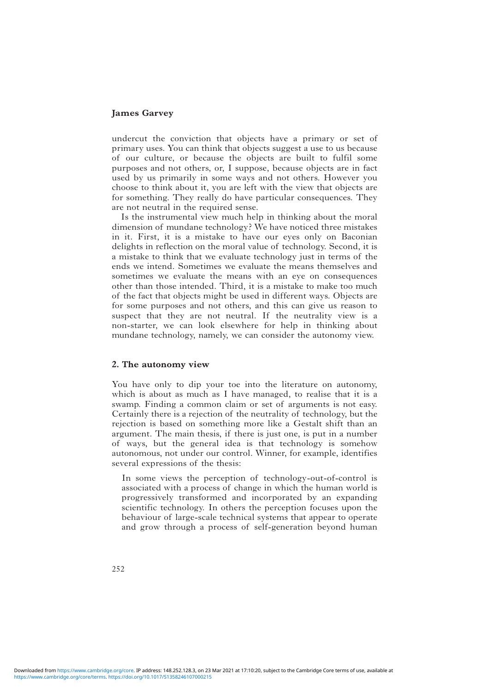undercut the conviction that objects have a primary or set of primary uses. You can think that objects suggest a use to us because of our culture, or because the objects are built to fulfil some purposes and not others, or, I suppose, because objects are in fact used by us primarily in some ways and not others. However you choose to think about it, you are left with the view that objects are for something. They really do have particular consequences. They are not neutral in the required sense.

Is the instrumental view much help in thinking about the moral dimension of mundane technology? We have noticed three mistakes in it. First, it is a mistake to have our eyes only on Baconian delights in reflection on the moral value of technology. Second, it is a mistake to think that we evaluate technology just in terms of the ends we intend. Sometimes we evaluate the means themselves and sometimes we evaluate the means with an eye on consequences other than those intended. Third, it is a mistake to make too much of the fact that objects might be used in different ways. Objects are for some purposes and not others, and this can give us reason to suspect that they are not neutral. If the neutrality view is a non-starter, we can look elsewhere for help in thinking about mundane technology, namely, we can consider the autonomy view.

#### **2. The autonomy view**

You have only to dip your toe into the literature on autonomy, which is about as much as I have managed, to realise that it is a swamp. Finding a common claim or set of arguments is not easy. Certainly there is a rejection of the neutrality of technology, but the rejection is based on something more like a Gestalt shift than an argument. The main thesis, if there is just one, is put in a number of ways, but the general idea is that technology is somehow autonomous, not under our control. Winner, for example, identifies several expressions of the thesis:

In some views the perception of technology-out-of-control is associated with a process of change in which the human world is progressively transformed and incorporated by an expanding scientific technology. In others the perception focuses upon the behaviour of large-scale technical systems that appear to operate and grow through a process of self-generation beyond human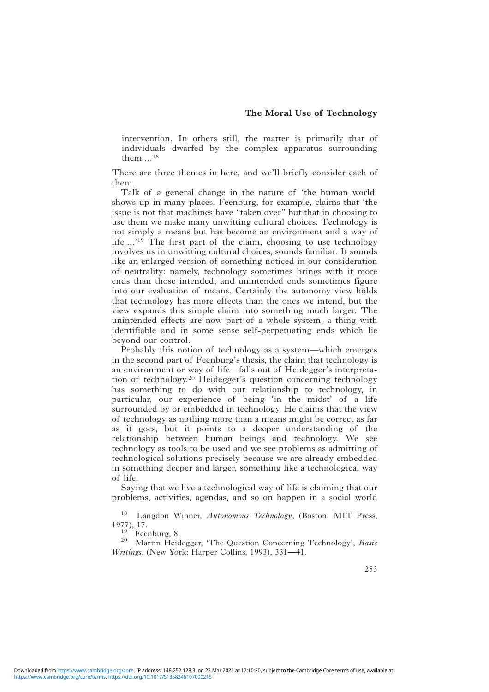intervention. In others still, the matter is primarily that of individuals dwarfed by the complex apparatus surrounding them ...18

There are three themes in here, and we'll briefly consider each of them.

Talk of a general change in the nature of 'the human world' shows up in many places. Feenburg, for example, claims that 'the issue is not that machines have "taken over" but that in choosing to use them we make many unwitting cultural choices. Technology is not simply a means but has become an environment and a way of life ...'19 The first part of the claim, choosing to use technology involves us in unwitting cultural choices, sounds familiar. It sounds like an enlarged version of something noticed in our consideration of neutrality: namely, technology sometimes brings with it more ends than those intended, and unintended ends sometimes figure into our evaluation of means. Certainly the autonomy view holds that technology has more effects than the ones we intend, but the view expands this simple claim into something much larger. The unintended effects are now part of a whole system, a thing with identifiable and in some sense self-perpetuating ends which lie beyond our control.

Probably this notion of technology as a system—which emerges in the second part of Feenburg's thesis, the claim that technology is an environment or way of life—falls out of Heidegger's interpretation of technology.20 Heidegger's question concerning technology has something to do with our relationship to technology, in particular, our experience of being 'in the midst' of a life surrounded by or embedded in technology. He claims that the view of technology as nothing more than a means might be correct as far as it goes, but it points to a deeper understanding of the relationship between human beings and technology. We see technology as tools to be used and we see problems as admitting of technological solutions precisely because we are already embedded in something deeper and larger, something like a technological way of life.

Saying that we live a technological way of life is claiming that our problems, activities, agendas, and so on happen in a social world

<sup>18</sup> Langdon Winner, *Autonomous Technology*, (Boston: MIT Press,

<sup>197</sup> Feenburg, 8. 20 Martin Heidegger, 'The Question Concerning Technology', *Basic Writings*. (New York: Harper Collins, 1993), 331—41.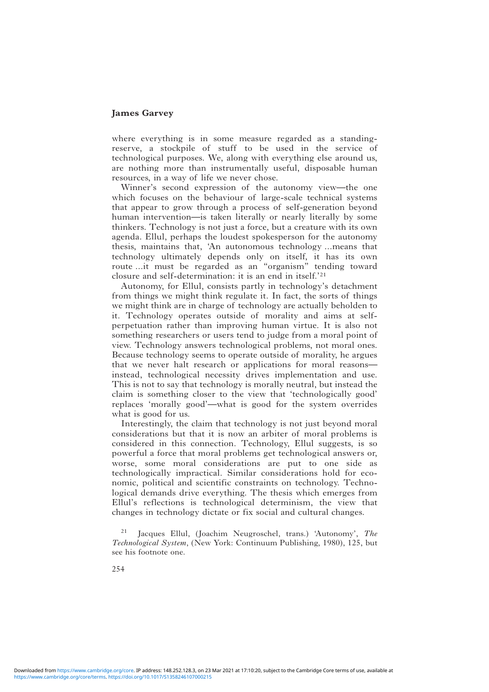where everything is in some measure regarded as a standingreserve, a stockpile of stuff to be used in the service of technological purposes. We, along with everything else around us, are nothing more than instrumentally useful, disposable human resources, in a way of life we never chose.

Winner's second expression of the autonomy view—the one which focuses on the behaviour of large-scale technical systems that appear to grow through a process of self-generation beyond human intervention—is taken literally or nearly literally by some thinkers. Technology is not just a force, but a creature with its own agenda. Ellul, perhaps the loudest spokesperson for the autonomy thesis, maintains that, 'An autonomous technology ...means that technology ultimately depends only on itself, it has its own route ...it must be regarded as an "organism" tending toward closure and self-determination: it is an end in itself.'21

Autonomy, for Ellul, consists partly in technology's detachment from things we might think regulate it. In fact, the sorts of things we might think are in charge of technology are actually beholden to it. Technology operates outside of morality and aims at selfperpetuation rather than improving human virtue. It is also not something researchers or users tend to judge from a moral point of view. Technology answers technological problems, not moral ones. Because technology seems to operate outside of morality, he argues that we never halt research or applications for moral reasons instead, technological necessity drives implementation and use. This is not to say that technology is morally neutral, but instead the claim is something closer to the view that 'technologically good' replaces 'morally good'—what is good for the system overrides what is good for us.

Interestingly, the claim that technology is not just beyond moral considerations but that it is now an arbiter of moral problems is considered in this connection. Technology, Ellul suggests, is so powerful a force that moral problems get technological answers or, worse, some moral considerations are put to one side as technologically impractical. Similar considerations hold for economic, political and scientific constraints on technology. Technological demands drive everything. The thesis which emerges from Ellul's reflections is technological determinism, the view that changes in technology dictate or fix social and cultural changes.

<sup>21</sup> Jacques Ellul, (Joachim Neugroschel, trans.) 'Autonomy', *The Technological System*, (New York: Continuum Publishing, 1980), 125, but see his footnote one.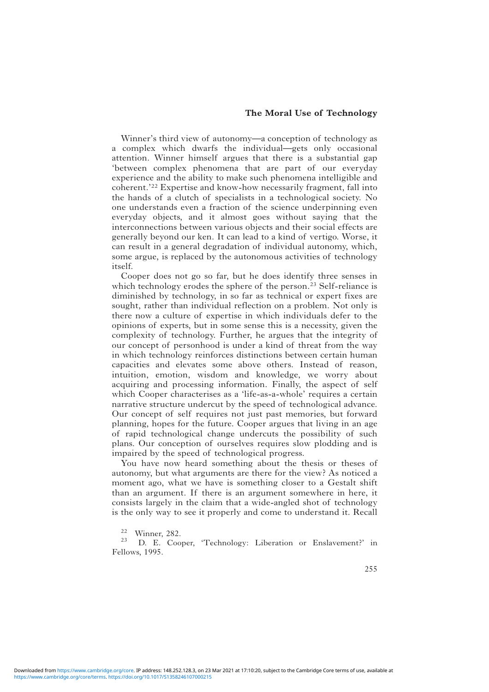Winner's third view of autonomy—a conception of technology as a complex which dwarfs the individual—gets only occasional attention. Winner himself argues that there is a substantial gap 'between complex phenomena that are part of our everyday experience and the ability to make such phenomena intelligible and coherent.'22 Expertise and know-how necessarily fragment, fall into the hands of a clutch of specialists in a technological society. No one understands even a fraction of the science underpinning even everyday objects, and it almost goes without saying that the interconnections between various objects and their social effects are generally beyond our ken. It can lead to a kind of vertigo. Worse, it can result in a general degradation of individual autonomy, which, some argue, is replaced by the autonomous activities of technology itself.

Cooper does not go so far, but he does identify three senses in which technology erodes the sphere of the person.<sup>23</sup> Self-reliance is diminished by technology, in so far as technical or expert fixes are sought, rather than individual reflection on a problem. Not only is there now a culture of expertise in which individuals defer to the opinions of experts, but in some sense this is a necessity, given the complexity of technology. Further, he argues that the integrity of our concept of personhood is under a kind of threat from the way in which technology reinforces distinctions between certain human capacities and elevates some above others. Instead of reason, intuition, emotion, wisdom and knowledge, we worry about acquiring and processing information. Finally, the aspect of self which Cooper characterises as a 'life-as-a-whole' requires a certain narrative structure undercut by the speed of technological advance. Our concept of self requires not just past memories, but forward planning, hopes for the future. Cooper argues that living in an age of rapid technological change undercuts the possibility of such plans. Our conception of ourselves requires slow plodding and is impaired by the speed of technological progress.

You have now heard something about the thesis or theses of autonomy, but what arguments are there for the view? As noticed a moment ago, what we have is something closer to a Gestalt shift than an argument. If there is an argument somewhere in here, it consists largely in the claim that a wide-angled shot of technology is the only way to see it properly and come to understand it. Recall

<sup>22</sup> Winner, 282.<br><sup>23</sup> D. E. Cooper, 'Technology: Liberation or Enslavement?' in Fellows, 1995.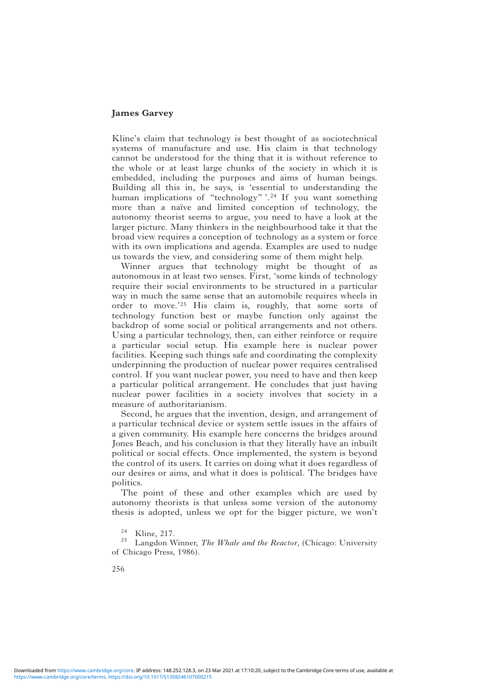Kline's claim that technology is best thought of as sociotechnical systems of manufacture and use. His claim is that technology cannot be understood for the thing that it is without reference to the whole or at least large chunks of the society in which it is embedded, including the purposes and aims of human beings. Building all this in, he says, is 'essential to understanding the human implications of "technology" '.24 If you want something more than a naïve and limited conception of technology, the autonomy theorist seems to argue, you need to have a look at the larger picture. Many thinkers in the neighbourhood take it that the broad view requires a conception of technology as a system or force with its own implications and agenda. Examples are used to nudge us towards the view, and considering some of them might help.

Winner argues that technology might be thought of as autonomous in at least two senses. First, 'some kinds of technology require their social environments to be structured in a particular way in much the same sense that an automobile requires wheels in order to move.'25 His claim is, roughly, that some sorts of technology function best or maybe function only against the backdrop of some social or political arrangements and not others. Using a particular technology, then, can either reinforce or require a particular social setup. His example here is nuclear power facilities. Keeping such things safe and coordinating the complexity underpinning the production of nuclear power requires centralised control. If you want nuclear power, you need to have and then keep a particular political arrangement. He concludes that just having nuclear power facilities in a society involves that society in a measure of authoritarianism.

Second, he argues that the invention, design, and arrangement of a particular technical device or system settle issues in the affairs of a given community. His example here concerns the bridges around Jones Beach, and his conclusion is that they literally have an inbuilt political or social effects. Once implemented, the system is beyond the control of its users. It carries on doing what it does regardless of our desires or aims, and what it does is political. The bridges have politics.

The point of these and other examples which are used by autonomy theorists is that unless some version of the autonomy thesis is adopted, unless we opt for the bigger picture, we won't

<sup>24</sup> Kline, 217. <sup>25</sup> Langdon Winner, *The Whale and the Reactor*, (Chicago: University of Chicago Press, 1986).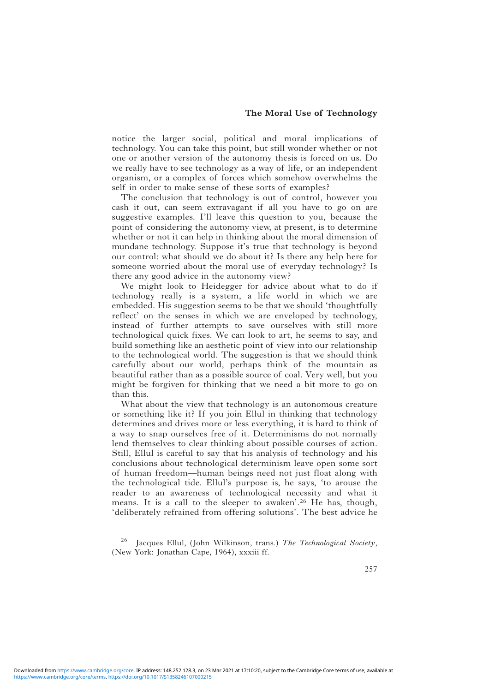notice the larger social, political and moral implications of technology. You can take this point, but still wonder whether or not one or another version of the autonomy thesis is forced on us. Do we really have to see technology as a way of life, or an independent organism, or a complex of forces which somehow overwhelms the self in order to make sense of these sorts of examples?

The conclusion that technology is out of control, however you cash it out, can seem extravagant if all you have to go on are suggestive examples. I'll leave this question to you, because the point of considering the autonomy view, at present, is to determine whether or not it can help in thinking about the moral dimension of mundane technology. Suppose it's true that technology is beyond our control: what should we do about it? Is there any help here for someone worried about the moral use of everyday technology? Is there any good advice in the autonomy view?

We might look to Heidegger for advice about what to do if technology really is a system, a life world in which we are embedded. His suggestion seems to be that we should 'thoughtfully reflect' on the senses in which we are enveloped by technology, instead of further attempts to save ourselves with still more technological quick fixes. We can look to art, he seems to say, and build something like an aesthetic point of view into our relationship to the technological world. The suggestion is that we should think carefully about our world, perhaps think of the mountain as beautiful rather than as a possible source of coal. Very well, but you might be forgiven for thinking that we need a bit more to go on than this.

What about the view that technology is an autonomous creature or something like it? If you join Ellul in thinking that technology determines and drives more or less everything, it is hard to think of a way to snap ourselves free of it. Determinisms do not normally lend themselves to clear thinking about possible courses of action. Still, Ellul is careful to say that his analysis of technology and his conclusions about technological determinism leave open some sort of human freedom—human beings need not just float along with the technological tide. Ellul's purpose is, he says, 'to arouse the reader to an awareness of technological necessity and what it means. It is a call to the sleeper to awaken'.26 He has, though, 'deliberately refrained from offering solutions'. The best advice he

<sup>26</sup> Jacques Ellul, (John Wilkinson, trans.) *The Technological Society*, (New York: Jonathan Cape, 1964), xxxiii ff.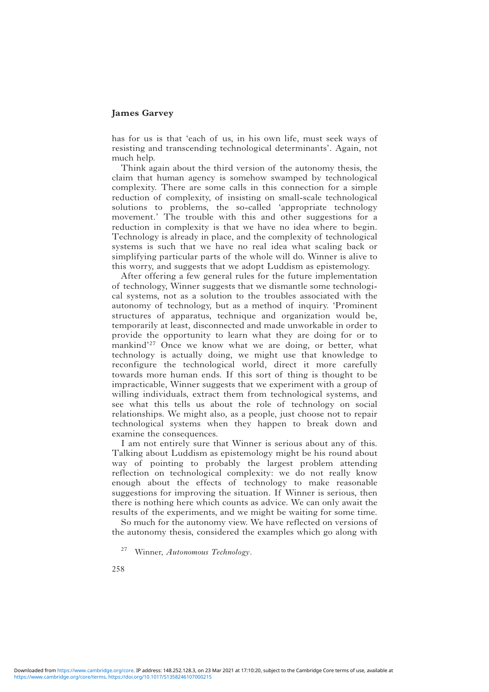has for us is that 'each of us, in his own life, must seek ways of resisting and transcending technological determinants'. Again, not much help.

Think again about the third version of the autonomy thesis, the claim that human agency is somehow swamped by technological complexity. There are some calls in this connection for a simple reduction of complexity, of insisting on small-scale technological solutions to problems, the so-called 'appropriate technology movement.' The trouble with this and other suggestions for a reduction in complexity is that we have no idea where to begin. Technology is already in place, and the complexity of technological systems is such that we have no real idea what scaling back or simplifying particular parts of the whole will do. Winner is alive to this worry, and suggests that we adopt Luddism as epistemology.

After offering a few general rules for the future implementation of technology, Winner suggests that we dismantle some technological systems, not as a solution to the troubles associated with the autonomy of technology, but as a method of inquiry. 'Prominent structures of apparatus, technique and organization would be, temporarily at least, disconnected and made unworkable in order to provide the opportunity to learn what they are doing for or to mankind'27 Once we know what we are doing, or better, what technology is actually doing, we might use that knowledge to reconfigure the technological world, direct it more carefully towards more human ends. If this sort of thing is thought to be impracticable, Winner suggests that we experiment with a group of willing individuals, extract them from technological systems, and see what this tells us about the role of technology on social relationships. We might also, as a people, just choose not to repair technological systems when they happen to break down and examine the consequences.

I am not entirely sure that Winner is serious about any of this. Talking about Luddism as epistemology might be his round about way of pointing to probably the largest problem attending reflection on technological complexity: we do not really know enough about the effects of technology to make reasonable suggestions for improving the situation. If Winner is serious, then there is nothing here which counts as advice. We can only await the results of the experiments, and we might be waiting for some time.

So much for the autonomy view. We have reflected on versions of the autonomy thesis, considered the examples which go along with

<sup>27</sup> Winner, *Autonomous Technology*.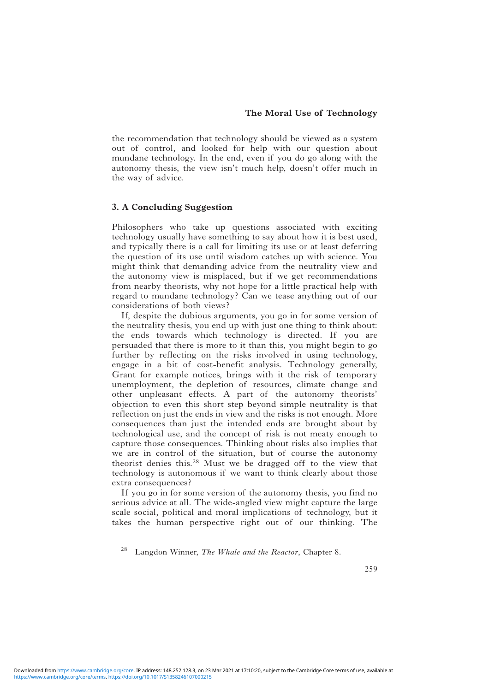the recommendation that technology should be viewed as a system out of control, and looked for help with our question about mundane technology. In the end, even if you do go along with the autonomy thesis, the view isn't much help, doesn't offer much in the way of advice.

#### **3. A Concluding Suggestion**

Philosophers who take up questions associated with exciting technology usually have something to say about how it is best used, and typically there is a call for limiting its use or at least deferring the question of its use until wisdom catches up with science. You might think that demanding advice from the neutrality view and the autonomy view is misplaced, but if we get recommendations from nearby theorists, why not hope for a little practical help with regard to mundane technology? Can we tease anything out of our considerations of both views?

If, despite the dubious arguments, you go in for some version of the neutrality thesis, you end up with just one thing to think about: the ends towards which technology is directed. If you are persuaded that there is more to it than this, you might begin to go further by reflecting on the risks involved in using technology, engage in a bit of cost-benefit analysis. Technology generally, Grant for example notices, brings with it the risk of temporary unemployment, the depletion of resources, climate change and other unpleasant effects. A part of the autonomy theorists' objection to even this short step beyond simple neutrality is that reflection on just the ends in view and the risks is not enough. More consequences than just the intended ends are brought about by technological use, and the concept of risk is not meaty enough to capture those consequences. Thinking about risks also implies that we are in control of the situation, but of course the autonomy theorist denies this.28 Must we be dragged off to the view that technology is autonomous if we want to think clearly about those extra consequences?

If you go in for some version of the autonomy thesis, you find no serious advice at all. The wide-angled view might capture the large scale social, political and moral implications of technology, but it takes the human perspective right out of our thinking. The

<sup>28</sup> Langdon Winner, *The Whale and the Reactor*, Chapter 8.